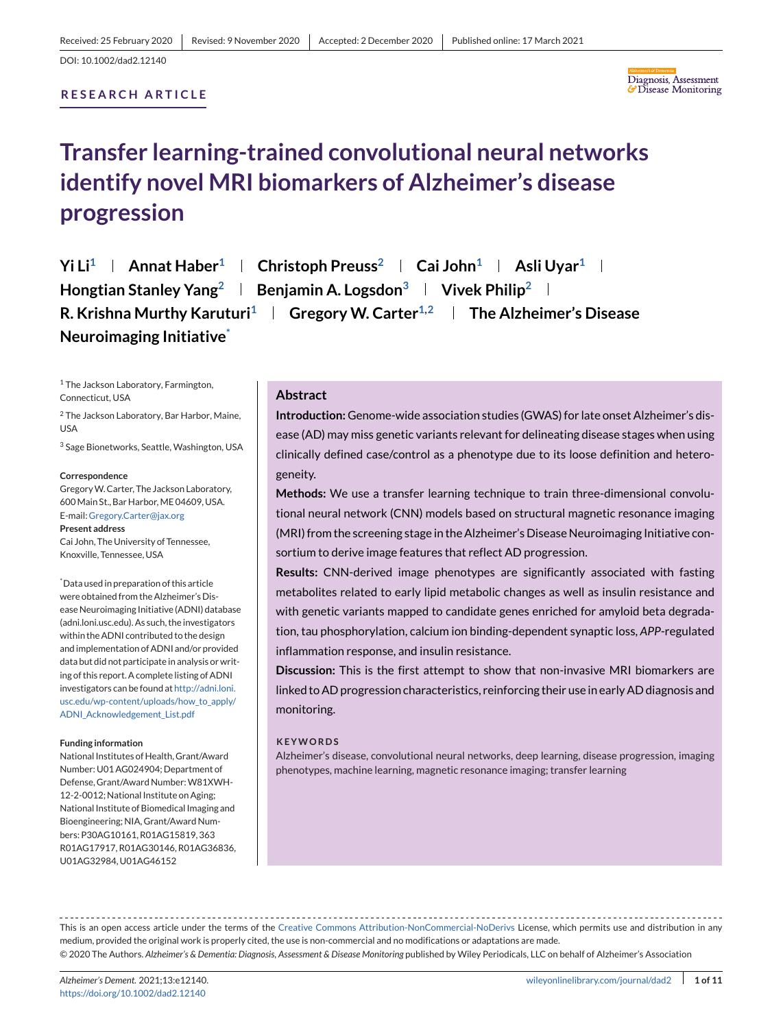## **RESEARCH ARTICLE**



# **Transfer learning-trained convolutional neural networks identify novel MRI biomarkers of Alzheimer's disease progression**

**Yi Li<sup>1</sup> | Annat Haber<sup>1</sup> | Christoph Preuss<sup>2</sup> | Cai John<sup>1</sup> | Asli Uyar<sup>1</sup> | Hongtian Stanley Yang<sup>2</sup> <b>Benjamin A. Logsdon**<sup>3</sup> **Vivek Philip**<sup>2</sup> **By R. Krishna Murthy Karuturi<sup>1</sup> | Gregory W. Carter<sup>1,2</sup> | The Alzheimer's Disease Neuroimaging Initiative\***

<sup>1</sup> The Jackson Laboratory, Farmington, Connecticut, USA

<sup>2</sup> The Jackson Laboratory, Bar Harbor, Maine, USA

<sup>3</sup> Sage Bionetworks, Seattle, Washington, USA

#### **Correspondence**

GregoryW. Carter, The Jackson Laboratory, 600 Main St., Bar Harbor, ME 04609, USA. E-mail: [Gregory.Carter@jax.org](mailto:Gregory.Carter@jax.org) **Present address**

Cai John, The University of Tennessee, Knoxville, Tennessee, USA

\* Data used in preparation of this article were obtained from the Alzheimer's Disease Neuroimaging Initiative (ADNI) database (adni.loni.usc.edu). As such, the investigators within the ADNI contributed to the design and implementation of ADNI and/or provided data but did not participate in analysis or writing of this report. A complete listing of ADNI investigators can be found at [http://adni.loni.](http://adni.loni.usc.edu/wp-content/uploads/how_to_apply/ADNI_Acknowledgement_List.pdf) [usc.edu/wp-content/uploads/how\\_to\\_apply/](http://adni.loni.usc.edu/wp-content/uploads/how_to_apply/ADNI_Acknowledgement_List.pdf) [ADNI\\_Acknowledgement\\_List.pdf](http://adni.loni.usc.edu/wp-content/uploads/how_to_apply/ADNI_Acknowledgement_List.pdf)

#### **Funding information**

National Institutes of Health, Grant/Award Number: U01 AG024904; Department of Defense, Grant/Award Number: W81XWH-12-2-0012; National Institute on Aging; National Institute of Biomedical Imaging and Bioengineering; NIA, Grant/Award Numbers: P30AG10161, R01AG15819, 363 R01AG17917, R01AG30146, R01AG36836, U01AG32984, U01AG46152

# **Abstract**

**Introduction:** Genome-wide association studies (GWAS) for late onset Alzheimer's disease (AD) may miss genetic variants relevant for delineating disease stages when using clinically defined case/control as a phenotype due to its loose definition and heterogeneity.

**Methods:** We use a transfer learning technique to train three-dimensional convolutional neural network (CNN) models based on structural magnetic resonance imaging (MRI) from the screening stage in the Alzheimer's Disease Neuroimaging Initiative consortium to derive image features that reflect AD progression.

**Results:** CNN-derived image phenotypes are significantly associated with fasting metabolites related to early lipid metabolic changes as well as insulin resistance and with genetic variants mapped to candidate genes enriched for amyloid beta degradation, tau phosphorylation, calcium ion binding-dependent synaptic loss, *APP*-regulated inflammation response, and insulin resistance.

**Discussion:** This is the first attempt to show that non-invasive MRI biomarkers are linked to AD progression characteristics, reinforcing their use in early AD diagnosis and monitoring.

#### **KEYWORDS**

Alzheimer's disease, convolutional neural networks, deep learning, disease progression, imaging phenotypes, machine learning, magnetic resonance imaging; transfer learning

This is an open access article under the terms of the [Creative Commons Attribution-NonCommercial-NoDerivs](http://creativecommons.org/licenses/by-nc-nd/4.0/) License, which permits use and distribution in any medium, provided the original work is properly cited, the use is non-commercial and no modifications or adaptations are made. © 2020 The Authors. *Alzheimer's & Dementia: Diagnosis, Assessment & Disease Monitoring* published by Wiley Periodicals, LLC on behalf of Alzheimer's Association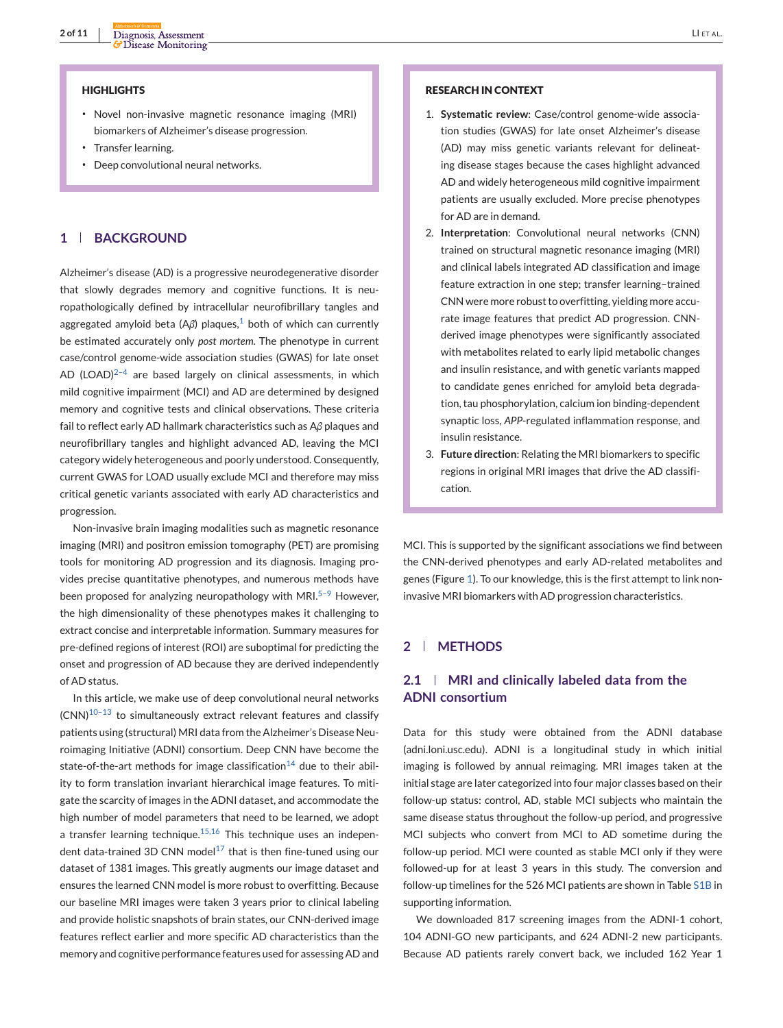#### **HIGHLIGHTS**

- ∙ Novel non-invasive magnetic resonance imaging (MRI) biomarkers of Alzheimer's disease progression.
- ∙ Transfer learning.
- ∙ Deep convolutional neural networks.

## **1 BACKGROUND**

Alzheimer's disease (AD) is a progressive neurodegenerative disorder that slowly degrades memory and cognitive functions. It is neuropathologically defined by intracellular neurofibrillary tangles and aggregated amyloid beta  $(A\beta)$  plaques,<sup>[1](#page-9-0)</sup> both of which can currently be estimated accurately only *post mortem*. The phenotype in current case/control genome-wide association studies (GWAS) for late onset AD (LOAD) $2-4$  are based largely on clinical assessments, in which mild cognitive impairment (MCI) and AD are determined by designed memory and cognitive tests and clinical observations. These criteria fail to reflect early AD hallmark characteristics such as A*β* plaques and neurofibrillary tangles and highlight advanced AD, leaving the MCI category widely heterogeneous and poorly understood. Consequently, current GWAS for LOAD usually exclude MCI and therefore may miss critical genetic variants associated with early AD characteristics and progression.

Non-invasive brain imaging modalities such as magnetic resonance imaging (MRI) and positron emission tomography (PET) are promising tools for monitoring AD progression and its diagnosis. Imaging provides precise quantitative phenotypes, and numerous methods have been proposed for analyzing neuropathology with MRI. $5-9$  However, the high dimensionality of these phenotypes makes it challenging to extract concise and interpretable information. Summary measures for pre-defined regions of interest (ROI) are suboptimal for predicting the onset and progression of AD because they are derived independently of AD status.

In this article, we make use of deep convolutional neural networks  $(CNN)^{10-13}$  to simultaneously extract relevant features and classify patients using (structural) MRI data from the Alzheimer's Disease Neuroimaging Initiative (ADNI) consortium. Deep CNN have become the state-of-the-art methods for image classification<sup>[14](#page-10-0)</sup> due to their ability to form translation invariant hierarchical image features. To mitigate the scarcity of images in the ADNI dataset, and accommodate the high number of model parameters that need to be learned, we adopt a transfer learning technique. $15,16$  This technique uses an indepen-dent data-trained 3D CNN model<sup>[17](#page-10-0)</sup> that is then fine-tuned using our dataset of 1381 images. This greatly augments our image dataset and ensures the learned CNN model is more robust to overfitting. Because our baseline MRI images were taken 3 years prior to clinical labeling and provide holistic snapshots of brain states, our CNN-derived image features reflect earlier and more specific AD characteristics than the memory and cognitive performance features used for assessing AD and

- 1. **Systematic review**: Case/control genome-wide association studies (GWAS) for late onset Alzheimer's disease (AD) may miss genetic variants relevant for delineating disease stages because the cases highlight advanced AD and widely heterogeneous mild cognitive impairment patients are usually excluded. More precise phenotypes for AD are in demand.
- 2. **Interpretation**: Convolutional neural networks (CNN) trained on structural magnetic resonance imaging (MRI) and clinical labels integrated AD classification and image feature extraction in one step; transfer learning–trained CNN were more robust to overfitting, yielding more accurate image features that predict AD progression. CNNderived image phenotypes were significantly associated with metabolites related to early lipid metabolic changes and insulin resistance, and with genetic variants mapped to candidate genes enriched for amyloid beta degradation, tau phosphorylation, calcium ion binding-dependent synaptic loss, *APP*-regulated inflammation response, and insulin resistance.
- 3. **Future direction**: Relating the MRI biomarkers to specific regions in original MRI images that drive the AD classification.

MCI. This is supported by the significant associations we find between the CNN-derived phenotypes and early AD-related metabolites and genes (Figure [1\)](#page-2-0). To our knowledge, this is the first attempt to link noninvasive MRI biomarkers with AD progression characteristics.

## **2 METHODS**

# **2.1 MRI and clinically labeled data from the ADNI consortium**

Data for this study were obtained from the ADNI database (adni.loni.usc.edu). ADNI is a longitudinal study in which initial imaging is followed by annual reimaging. MRI images taken at the initial stage are later categorized into four major classes based on their follow-up status: control, AD, stable MCI subjects who maintain the same disease status throughout the follow-up period, and progressive MCI subjects who convert from MCI to AD sometime during the follow-up period. MCI were counted as stable MCI only if they were followed-up for at least 3 years in this study. The conversion and follow-up timelines for the 526 MCI patients are shown in Table S1B in supporting information.

We downloaded 817 screening images from the ADNI-1 cohort, 104 ADNI-GO new participants, and 624 ADNI-2 new participants. Because AD patients rarely convert back, we included 162 Year 1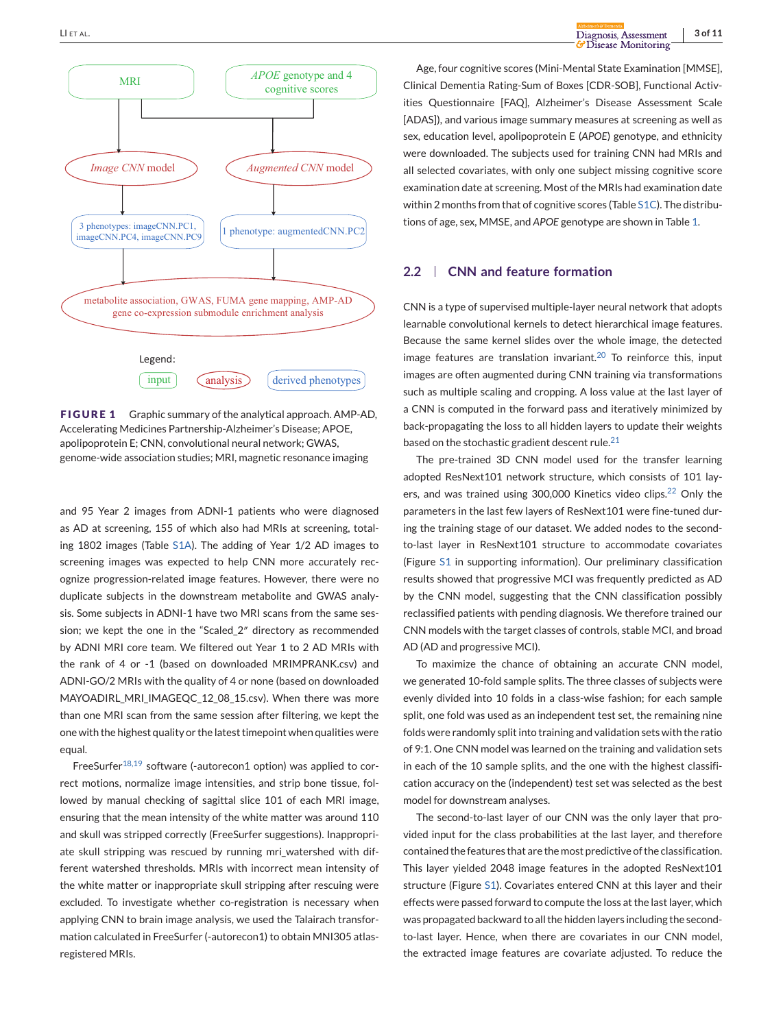<span id="page-2-0"></span>

**FIGURE 1** Graphic summary of the analytical approach. AMP-AD, Accelerating Medicines Partnership-Alzheimer's Disease; APOE, apolipoprotein E; CNN, convolutional neural network; GWAS, genome-wide association studies; MRI, magnetic resonance imaging

and 95 Year 2 images from ADNI-1 patients who were diagnosed as AD at screening, 155 of which also had MRIs at screening, totaling 1802 images (Table S1A). The adding of Year 1/2 AD images to screening images was expected to help CNN more accurately recognize progression-related image features. However, there were no duplicate subjects in the downstream metabolite and GWAS analysis. Some subjects in ADNI-1 have two MRI scans from the same session; we kept the one in the "Scaled\_2″ directory as recommended by ADNI MRI core team. We filtered out Year 1 to 2 AD MRIs with the rank of 4 or -1 (based on downloaded MRIMPRANK.csv) and ADNI-GO/2 MRIs with the quality of 4 or none (based on downloaded MAYOADIRL\_MRI\_IMAGEQC\_12\_08\_15.csv). When there was more than one MRI scan from the same session after filtering, we kept the one with the highest quality or the latest timepoint when qualities were equal.

FreeSurfer<sup>[18,19](#page-10-0)</sup> software (-autorecon1 option) was applied to correct motions, normalize image intensities, and strip bone tissue, followed by manual checking of sagittal slice 101 of each MRI image, ensuring that the mean intensity of the white matter was around 110 and skull was stripped correctly (FreeSurfer suggestions). Inappropriate skull stripping was rescued by running mri\_watershed with different watershed thresholds. MRIs with incorrect mean intensity of the white matter or inappropriate skull stripping after rescuing were excluded. To investigate whether co-registration is necessary when applying CNN to brain image analysis, we used the Talairach transformation calculated in FreeSurfer (-autorecon1) to obtain MNI305 atlasregistered MRIs.

Age, four cognitive scores (Mini-Mental State Examination [MMSE], Clinical Dementia Rating-Sum of Boxes [CDR-SOB], Functional Activities Questionnaire [FAQ], Alzheimer's Disease Assessment Scale [ADAS]), and various image summary measures at screening as well as sex, education level, apolipoprotein E (*APOE*) genotype, and ethnicity were downloaded. The subjects used for training CNN had MRIs and all selected covariates, with only one subject missing cognitive score examination date at screening. Most of the MRIs had examination date within 2 months from that of cognitive scores (Table S1C). The distributions of age, sex, MMSE, and *APOE* genotype are shown in Table [1.](#page-3-0)

# **2.2 CNN and feature formation**

CNN is a type of supervised multiple-layer neural network that adopts learnable convolutional kernels to detect hierarchical image features. Because the same kernel slides over the whole image, the detected image features are translation invariant.<sup>[20](#page-10-0)</sup> To reinforce this, input images are often augmented during CNN training via transformations such as multiple scaling and cropping. A loss value at the last layer of a CNN is computed in the forward pass and iteratively minimized by back-propagating the loss to all hidden layers to update their weights based on the stochastic gradient descent rule.<sup>[21](#page-10-0)</sup>

The pre-trained 3D CNN model used for the transfer learning adopted ResNext101 network structure, which consists of 101 layers, and was trained using 300,000 Kinetics video clips. $22$  Only the parameters in the last few layers of ResNext101 were fine-tuned during the training stage of our dataset. We added nodes to the secondto-last layer in ResNext101 structure to accommodate covariates (Figure S1 in supporting information). Our preliminary classification results showed that progressive MCI was frequently predicted as AD by the CNN model, suggesting that the CNN classification possibly reclassified patients with pending diagnosis. We therefore trained our CNN models with the target classes of controls, stable MCI, and broad AD (AD and progressive MCI).

To maximize the chance of obtaining an accurate CNN model, we generated 10-fold sample splits. The three classes of subjects were evenly divided into 10 folds in a class-wise fashion; for each sample split, one fold was used as an independent test set, the remaining nine folds were randomly split into training and validation sets with the ratio of 9:1. One CNN model was learned on the training and validation sets in each of the 10 sample splits, and the one with the highest classification accuracy on the (independent) test set was selected as the best model for downstream analyses.

The second-to-last layer of our CNN was the only layer that provided input for the class probabilities at the last layer, and therefore contained the features that are the most predictive of the classification. This layer yielded 2048 image features in the adopted ResNext101 structure (Figure S1). Covariates entered CNN at this layer and their effects were passed forward to compute the loss at the last layer, which was propagated backward to all the hidden layers including the secondto-last layer. Hence, when there are covariates in our CNN model, the extracted image features are covariate adjusted. To reduce the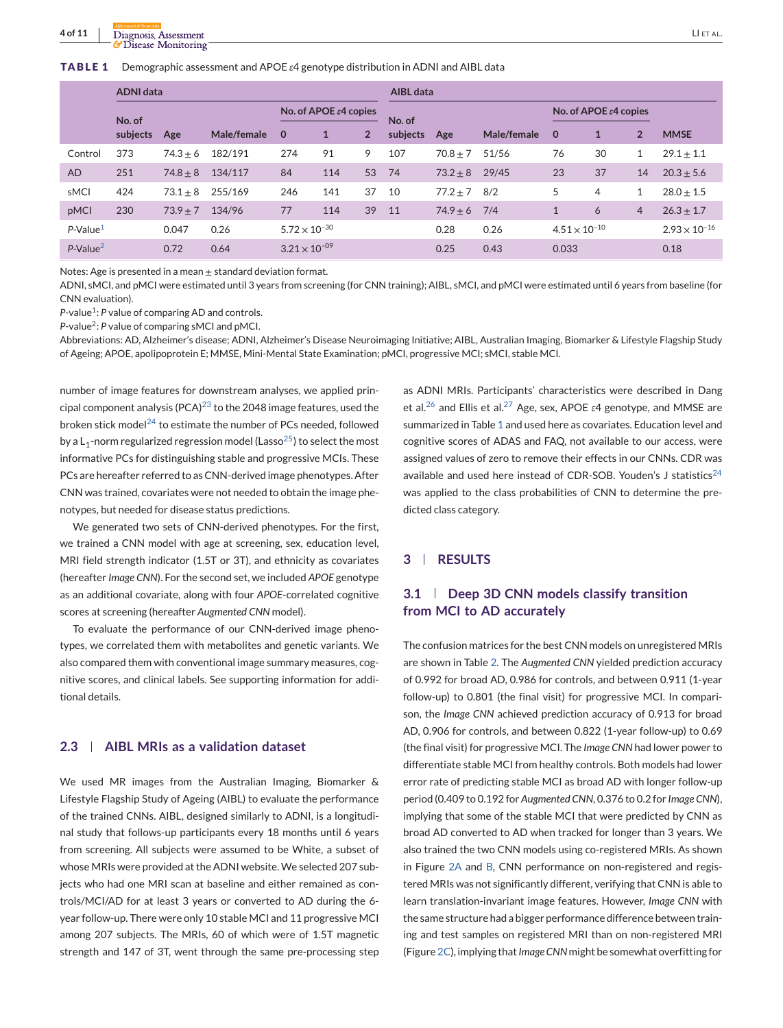#### <span id="page-3-0"></span>**TABLE 1** Demographic assessment and APOE *ε*4 genotype distribution in ADNI and AIBL data

|             | <b>ADNI data</b> |            |             |                        |                                    |                | <b>AIBL</b> data |            |             |                        |                                    |                |                        |
|-------------|------------------|------------|-------------|------------------------|------------------------------------|----------------|------------------|------------|-------------|------------------------|------------------------------------|----------------|------------------------|
|             | No. of           |            |             |                        | No. of APOE $\varepsilon$ 4 copies |                | No. of           |            |             |                        | No. of APOE $\varepsilon$ 4 copies |                |                        |
|             | subjects         | Age        | Male/female | $\mathbf 0$            |                                    | $\overline{2}$ | subjects         | Age        | Male/female | $\mathbf 0$            | 1                                  | $\overline{2}$ | <b>MMSE</b>            |
| Control     | 373              | $74.3 + 6$ | 182/191     | 274                    | 91                                 | 9              | 107              | $70.8 + 7$ | 51/56       | 76                     | 30                                 | 1              | $29.1 + 1.1$           |
| <b>AD</b>   | 251              | $74.8 + 8$ | 134/117     | 84                     | 114                                | 53             | 74               | $73.2 + 8$ | 29/45       | 23                     | 37                                 | 14             | $20.3 + 5.6$           |
| sMCI        | 424              | $73.1 + 8$ | 255/169     | 246                    | 141                                | 37             | 10               | $77.2 + 7$ | 8/2         | 5                      | 4                                  | 1              | $28.0 + 1.5$           |
| pMCI        | 230              | $73.9 + 7$ | 134/96      | 77                     | 114                                | 39             | 11               | $74.9 + 6$ | 7/4         |                        | 6                                  | $\overline{4}$ | $26.3 \pm 1.7$         |
| $P-Value1$  |                  | 0.047      | 0.26        | $5.72 \times 10^{-30}$ |                                    |                |                  | 0.28       | 0.26        | $4.51 \times 10^{-10}$ |                                    |                | $2.93 \times 10^{-16}$ |
| $P-Value^2$ |                  | 0.72       | 0.64        | $3.21 \times 10^{-09}$ |                                    |                |                  | 0.25       | 0.43        | 0.033                  |                                    |                | 0.18                   |

Notes: Age is presented in a mean + standard deviation format.

ADNI, sMCI, and pMCI were estimated until 3 years from screening (for CNN training); AIBL, sMCI, and pMCI were estimated until 6 years from baseline (for CNN evaluation).

*P*-value<sup>1</sup>: *P* value of comparing AD and controls.

*P*-value2: *P* value of comparing sMCI and pMCI.

Abbreviations: AD, Alzheimer's disease; ADNI, Alzheimer's Disease Neuroimaging Initiative; AIBL, Australian Imaging, Biomarker & Lifestyle Flagship Study of Ageing; APOE, apolipoprotein E; MMSE, Mini-Mental State Examination; pMCI, progressive MCI; sMCI, stable MCI.

number of image features for downstream analyses, we applied principal component analysis (PCA) $^{23}$  $^{23}$  $^{23}$  to the 2048 image features, used the broken stick model<sup>[24](#page-10-0)</sup> to estimate the number of PCs needed, followed by a  $L_1$ -norm regularized regression model (Lasso<sup>25</sup>) to select the most informative PCs for distinguishing stable and progressive MCIs. These PCs are hereafter referred to as CNN-derived image phenotypes. After CNN was trained, covariates were not needed to obtain the image phenotypes, but needed for disease status predictions.

We generated two sets of CNN-derived phenotypes. For the first, we trained a CNN model with age at screening, sex, education level, MRI field strength indicator (1.5T or 3T), and ethnicity as covariates (hereafter *Image CNN*). For the second set, we included *APOE* genotype as an additional covariate, along with four *APOE*-correlated cognitive scores at screening (hereafter *Augmented CNN* model).

To evaluate the performance of our CNN-derived image phenotypes, we correlated them with metabolites and genetic variants. We also compared them with conventional image summary measures, cognitive scores, and clinical labels. See supporting information for additional details.

## **2.3 AIBL MRIs as a validation dataset**

We used MR images from the Australian Imaging, Biomarker & Lifestyle Flagship Study of Ageing (AIBL) to evaluate the performance of the trained CNNs. AIBL, designed similarly to ADNI, is a longitudinal study that follows-up participants every 18 months until 6 years from screening. All subjects were assumed to be White, a subset of whose MRIs were provided at the ADNI website. We selected 207 subjects who had one MRI scan at baseline and either remained as controls/MCI/AD for at least 3 years or converted to AD during the 6 year follow-up. There were only 10 stable MCI and 11 progressive MCI among 207 subjects. The MRIs, 60 of which were of 1.5T magnetic strength and 147 of 3T, went through the same pre-processing step

as ADNI MRIs. Participants' characteristics were described in Dang et al.[26](#page-10-0) and Ellis et al.[27](#page-10-0) Age, sex, APOE *ε*4 genotype, and MMSE are summarized in Table 1 and used here as covariates. Education level and cognitive scores of ADAS and FAQ, not available to our access, were assigned values of zero to remove their effects in our CNNs. CDR was available and used here instead of CDR-SOB. Youden's J statistics<sup>[24](#page-10-0)</sup> was applied to the class probabilities of CNN to determine the predicted class category.

# **3 RESULTS**

# **3.1 Deep 3D CNN models classify transition from MCI to AD accurately**

The confusion matrices for the best CNN models on unregistered MRIs are shown in Table [2.](#page-4-0) The *Augmented CNN* yielded prediction accuracy of 0.992 for broad AD, 0.986 for controls, and between 0.911 (1-year follow-up) to 0.801 (the final visit) for progressive MCI. In comparison, the *Image CNN* achieved prediction accuracy of 0.913 for broad AD, 0.906 for controls, and between 0.822 (1-year follow-up) to 0.69 (the final visit) for progressive MCI. The *Image CNN* had lower power to differentiate stable MCI from healthy controls. Both models had lower error rate of predicting stable MCI as broad AD with longer follow-up period (0.409 to 0.192 for *Augmented CNN*, 0.376 to 0.2 for *Image CNN*), implying that some of the stable MCI that were predicted by CNN as broad AD converted to AD when tracked for longer than 3 years. We also trained the two CNN models using co-registered MRIs. As shown in Figure [2A](#page-5-0) and [B,](#page-5-0) CNN performance on non-registered and registered MRIs was not significantly different, verifying that CNN is able to learn translation-invariant image features. However, *Image CNN* with the same structure had a bigger performance difference between training and test samples on registered MRI than on non-registered MRI (Figure [2C\)](#page-5-0), implying that*Image CNN* might be somewhat overfitting for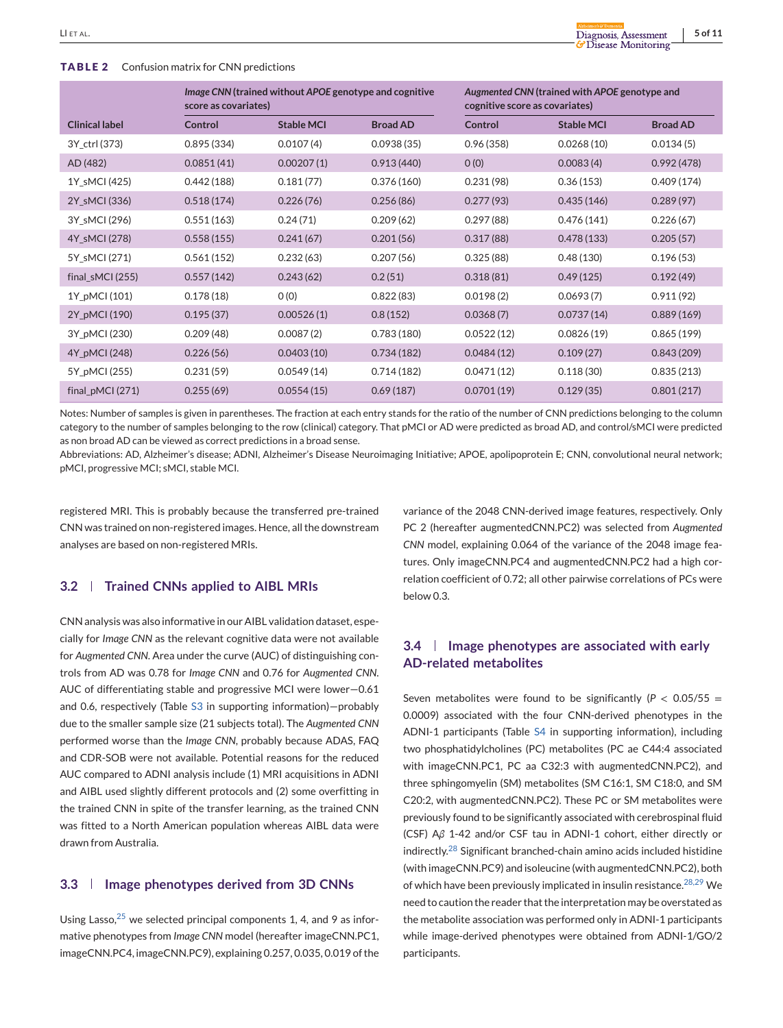#### <span id="page-4-0"></span>**TABLE 2** Confusion matrix for CNN predictions

|                       | score as covariates) | Image CNN (trained without APOE genotype and cognitive |                 | cognitive score as covariates) | Augmented CNN (trained with APOE genotype and |                 |
|-----------------------|----------------------|--------------------------------------------------------|-----------------|--------------------------------|-----------------------------------------------|-----------------|
| <b>Clinical label</b> | Control              | <b>Stable MCI</b>                                      | <b>Broad AD</b> | Control                        | <b>Stable MCI</b>                             | <b>Broad AD</b> |
| 3Y_ctrl (373)         | 0.895(334)           | 0.0107(4)                                              | 0.0938(35)      | 0.96(358)                      | 0.0268(10)                                    | 0.0134(5)       |
| AD (482)              | 0.0851(41)           | 0.00207(1)                                             | 0.913(440)      | O(0)                           | 0.0083(4)                                     | 0.992(478)      |
| 1Y sMCI (425)         | 0.442(188)           | 0.181(77)                                              | 0.376(160)      | 0.231(98)                      | 0.36(153)                                     | 0.409(174)      |
| 2Y_sMCI (336)         | 0.518(174)           | 0.226(76)                                              | 0.256(86)       | 0.277(93)                      | 0.435(146)                                    | 0.289(97)       |
| 3Y_sMCI (296)         | 0.551(163)           | 0.24(71)                                               | 0.209(62)       | 0.297(88)                      | 0.476(141)                                    | 0.226(67)       |
| 4Y_sMCI (278)         | 0.558(155)           | 0.241(67)                                              | 0.201(56)       | 0.317(88)                      | 0.478(133)                                    | 0.205(57)       |
| 5Y_sMCI (271)         | 0.561(152)           | 0.232(63)                                              | 0.207(56)       | 0.325(88)                      | 0.48(130)                                     | 0.196(53)       |
| final_sMCI(255)       | 0.557(142)           | 0.243(62)                                              | 0.2(51)         | 0.318(81)                      | 0.49(125)                                     | 0.192(49)       |
| 1Y_pMCI (101)         | 0.178(18)            | O(0)                                                   | 0.822(83)       | 0.0198(2)                      | 0.0693(7)                                     | 0.911(92)       |
| 2Y_pMCI (190)         | 0.195(37)            | 0.00526(1)                                             | 0.8(152)        | 0.0368(7)                      | 0.0737(14)                                    | 0.889(169)      |
| 3Y_pMCI (230)         | 0.209(48)            | 0.0087(2)                                              | 0.783(180)      | 0.0522(12)                     | 0.0826(19)                                    | 0.865(199)      |
| 4Y_pMCI(248)          | 0.226(56)            | 0.0403(10)                                             | 0.734(182)      | 0.0484(12)                     | 0.109(27)                                     | 0.843(209)      |
| 5Y_pMCI (255)         | 0.231(59)            | 0.0549(14)                                             | 0.714(182)      | 0.0471(12)                     | 0.118(30)                                     | 0.835(213)      |
| final_pMCI (271)      | 0.255(69)            | 0.0554(15)                                             | 0.69(187)       | 0.0701(19)                     | 0.129(35)                                     | 0.801(217)      |

Notes: Number of samples is given in parentheses. The fraction at each entry stands for the ratio of the number of CNN predictions belonging to the column category to the number of samples belonging to the row (clinical) category. That pMCI or AD were predicted as broad AD, and control/sMCI were predicted as non broad AD can be viewed as correct predictions in a broad sense.

Abbreviations: AD, Alzheimer's disease; ADNI, Alzheimer's Disease Neuroimaging Initiative; APOE, apolipoprotein E; CNN, convolutional neural network; pMCI, progressive MCI; sMCI, stable MCI.

registered MRI. This is probably because the transferred pre-trained CNN was trained on non-registered images. Hence, all the downstream analyses are based on non-registered MRIs.

# **3.2 Trained CNNs applied to AIBL MRIs**

CNN analysis was also informative in our AIBL validation dataset, especially for *Image CNN* as the relevant cognitive data were not available for *Augmented CNN*. Area under the curve (AUC) of distinguishing controls from AD was 0.78 for *Image CNN* and 0.76 for *Augmented CNN*. AUC of differentiating stable and progressive MCI were lower—0.61 and 0.6, respectively (Table S3 in supporting information)—probably due to the smaller sample size (21 subjects total). The *Augmented CNN* performed worse than the *Image CNN*, probably because ADAS, FAQ and CDR-SOB were not available. Potential reasons for the reduced AUC compared to ADNI analysis include (1) MRI acquisitions in ADNI and AIBL used slightly different protocols and (2) some overfitting in the trained CNN in spite of the transfer learning, as the trained CNN was fitted to a North American population whereas AIBL data were drawn from Australia.

### **3.3 Image phenotypes derived from 3D CNNs**

Using Lasso, $25$  we selected principal components 1, 4, and 9 as informative phenotypes from *Image CNN* model (hereafter imageCNN.PC1, imageCNN.PC4, imageCNN.PC9), explaining 0.257, 0.035, 0.019 of the variance of the 2048 CNN-derived image features, respectively. Only PC 2 (hereafter augmentedCNN.PC2) was selected from *Augmented CNN* model, explaining 0.064 of the variance of the 2048 image features. Only imageCNN.PC4 and augmentedCNN.PC2 had a high correlation coefficient of 0.72; all other pairwise correlations of PCs were below 0.3.

# **3.4 Image phenotypes are associated with early AD-related metabolites**

Seven metabolites were found to be significantly ( $P < 0.05/55 =$ 0.0009) associated with the four CNN-derived phenotypes in the ADNI-1 participants (Table S4 in supporting information), including two phosphatidylcholines (PC) metabolites (PC ae C44:4 associated with imageCNN.PC1, PC aa C32:3 with augmentedCNN.PC2), and three sphingomyelin (SM) metabolites (SM C16:1, SM C18:0, and SM C20:2, with augmentedCNN.PC2). These PC or SM metabolites were previously found to be significantly associated with cerebrospinal fluid (CSF) A*β* 1-42 and/or CSF tau in ADNI-1 cohort, either directly or indirectly.[28](#page-10-0) Significant branched-chain amino acids included histidine (with imageCNN.PC9) and isoleucine (with augmentedCNN.PC2), both of which have been previously implicated in insulin resistance.<sup>[28,29](#page-10-0)</sup> We need to caution the reader that the interpretation may be overstated as the metabolite association was performed only in ADNI-1 participants while image-derived phenotypes were obtained from ADNI-1/GO/2 participants.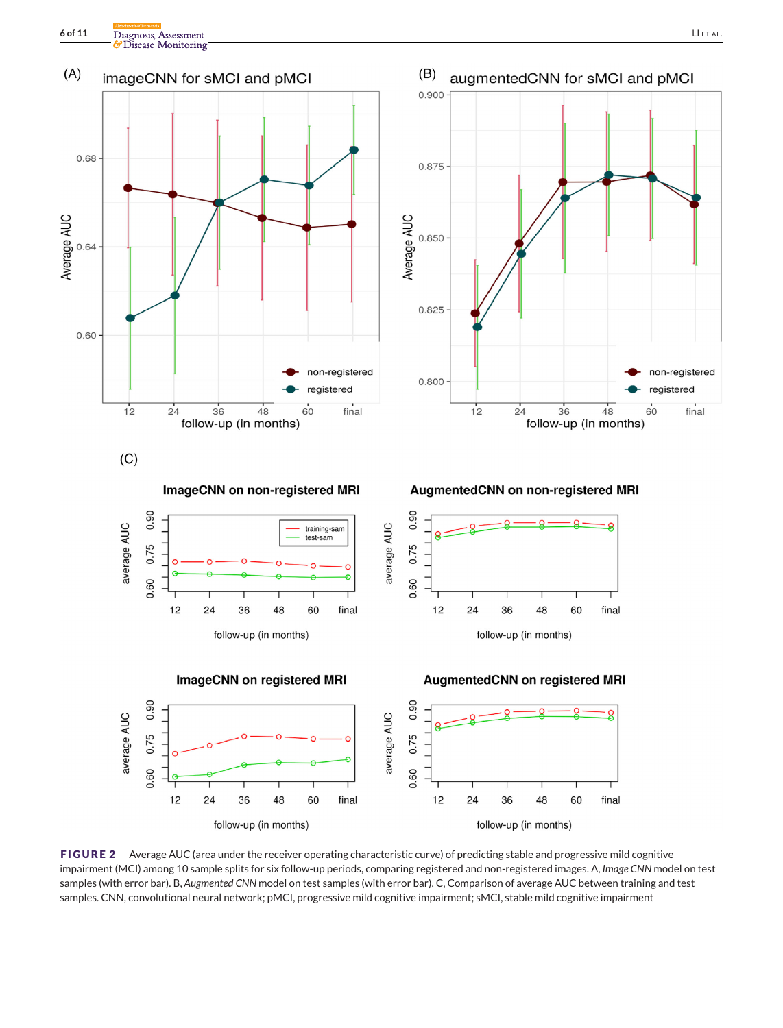<span id="page-5-0"></span>



**FIGURE 2** Average AUC (area under the receiver operating characteristic curve) of predicting stable and progressive mild cognitive impairment (MCI) among 10 sample splits for six follow-up periods, comparing registered and non-registered images. A, *Image CNN* model on test samples (with error bar). B, *Augmented CNN* model on test samples (with error bar). C, Comparison of average AUC between training and test samples. CNN, convolutional neural network; pMCI, progressive mild cognitive impairment; sMCI, stable mild cognitive impairment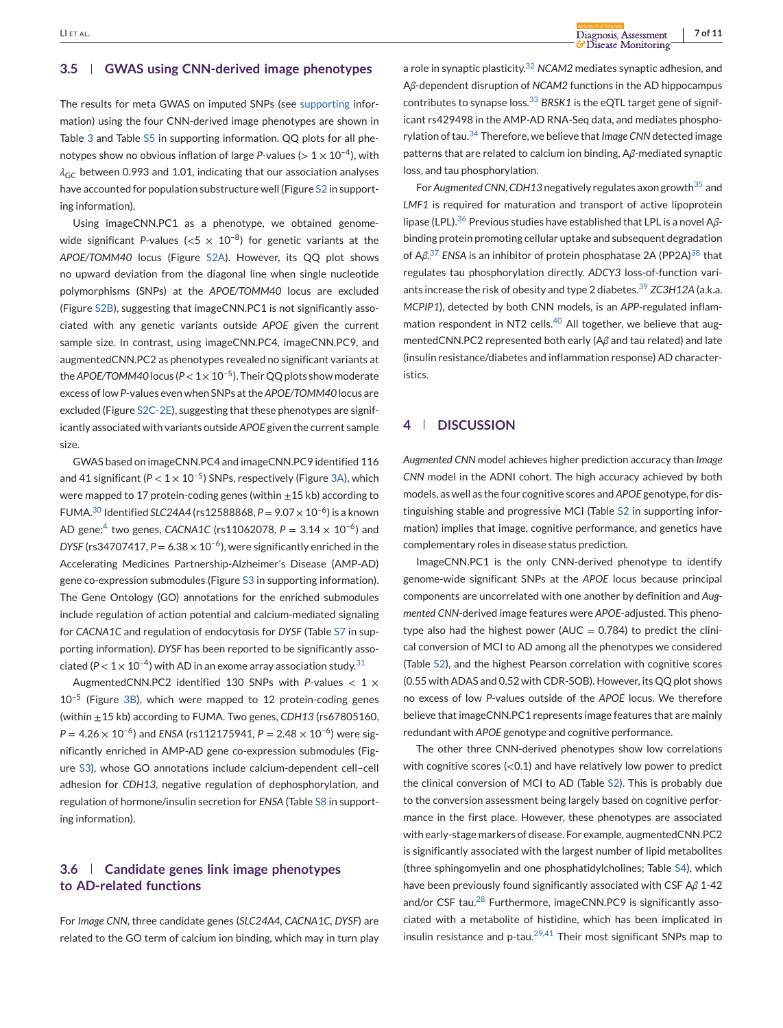## **3.5 GWAS using CNN-derived image phenotypes**

The results for meta GWAS on imputed SNPs (see supporting information) using the four CNN-derived image phenotypes are shown in Table [3](#page-7-0) and Table S5 in supporting information. QQ plots for all phenotypes show no obvious inflation of large *P*-values ( $> 1 \times 10^{-4}$ ), with  $\lambda_{\text{GC}}$  between 0.993 and 1.01, indicating that our association analyses have accounted for population substructure well (Figure S2 in supporting information).

Using imageCNN.PC1 as a phenotype, we obtained genomewide significant *P*-values ( $< 5 \times 10^{-8}$ ) for genetic variants at the *APOE/TOMM40* locus (Figure S2A). However, its QQ plot shows no upward deviation from the diagonal line when single nucleotide polymorphisms (SNPs) at the *APOE/TOMM40* locus are excluded (Figure S2B), suggesting that imageCNN.PC1 is not significantly associated with any genetic variants outside *APOE* given the current sample size. In contrast, using imageCNN.PC4, imageCNN.PC9, and augmentedCNN.PC2 as phenotypes revealed no significant variants at the *APOE/TOMM40* locus ( $P < 1 \times 10^{-5}$ ). Their QQ plots show moderate excess of low *P*-values even when SNPs at the *APOE/TOMM40* locus are excluded (Figure S2C-2E), suggesting that these phenotypes are significantly associated with variants outside *APOE* given the current sample size.

GWAS based on imageCNN.PC4 and imageCNN.PC9 identified 116 and 41 significant  $(P < 1 \times 10^{-5})$  SNPs, respectively (Figure [3A\)](#page-8-0), which were mapped to 17 protein-coding genes (within  $\pm$  15 kb) according to FUMA.<sup>[30](#page-10-0)</sup> Identified *SLC24A4* (rs12588868,  $P = 9.07 \times 10^{-6}$ ) is a known AD gene;<sup>[4](#page-9-0)</sup> two genes, *CACNA1C* (rs11062078,  $P = 3.14 \times 10^{-6}$ ) and *DYSF* (rs34707417,  $P = 6.38 \times 10^{-6}$ ), were significantly enriched in the Accelerating Medicines Partnership-Alzheimer's Disease (AMP-AD) gene co-expression submodules (Figure S3 in supporting information). The Gene Ontology (GO) annotations for the enriched submodules include regulation of action potential and calcium-mediated signaling for *CACNA1C* and regulation of endocytosis for *DYSF* (Table S7 in supporting information). *DYSF* has been reported to be significantly associated ( $P < 1 \times 10^{-4}$ ) with AD in an exome array association study.<sup>31</sup>

AugmentedCNN.PC2 identified 130 SNPs with *P*-values < 1 × 10–5 (Figure [3B\)](#page-8-0), which were mapped to 12 protein-coding genes (within ±15 kb) according to FUMA. Two genes, *CDH13* (rs67805160,  $P = 4.26 \times 10^{-6}$ ) and *ENSA* (rs112175941,  $P = 2.48 \times 10^{-6}$ ) were significantly enriched in AMP-AD gene co-expression submodules (Figure S3), whose GO annotations include calcium-dependent cell–cell adhesion for *CDH13*, negative regulation of dephosphorylation, and regulation of hormone/insulin secretion for *ENSA* (Table S8 in supporting information).

# **3.6 Candidate genes link image phenotypes to AD-related functions**

For *Image CNN*, three candidate genes (*SLC24A4, CACNA1C, DYSF*) are related to the GO term of calcium ion binding, which may in turn play

a role in synaptic plasticity.[32](#page-10-0) *NCAM2* mediates synaptic adhesion, and A*β*-dependent disruption of *NCAM2* functions in the AD hippocampus contributes to synapse loss.[33](#page-10-0) *BRSK1* is the eQTL target gene of significant rs429498 in the AMP-AD RNA-Seq data, and mediates phosphorylation of tau.[34](#page-10-0) Therefore, we believe that*Image CNN*detected image patterns that are related to calcium ion binding, A*β*-mediated synaptic loss, and tau phosphorylation.

For*Augmented CNN*,*CDH13* negatively regulates axon growth[35](#page-10-0) and *LMF1* is required for maturation and transport of active lipoprotein lipase (LPL).[36](#page-10-0) Previous studies have established that LPL is a novel A*β*binding protein promoting cellular uptake and subsequent degradation of Aβ.<sup>[37](#page-10-0)</sup> ENSA is an inhibitor of protein phosphatase 2A (PP2A)<sup>[38](#page-10-0)</sup> that regulates tau phosphorylation directly. *ADCY3* loss-of-function variants increase the risk of obesity and type 2 diabetes.[39](#page-10-0) *ZC3H12A* (a.k.a. *MCPIP1*), detected by both CNN models, is an *APP*-regulated inflam-mation respondent in NT2 cells.<sup>[40](#page-10-0)</sup> All together, we believe that augmentedCNN.PC2 represented both early (A*β* and tau related) and late (insulin resistance/diabetes and inflammation response) AD characteristics.

## **4 DISCUSSION**

*Augmented CNN* model achieves higher prediction accuracy than *Image CNN* model in the ADNI cohort. The high accuracy achieved by both models, as well as the four cognitive scores and *APOE* genotype, for distinguishing stable and progressive MCI (Table S2 in supporting information) implies that image, cognitive performance, and genetics have complementary roles in disease status prediction.

ImageCNN.PC1 is the only CNN-derived phenotype to identify genome-wide significant SNPs at the *APOE* locus because principal components are uncorrelated with one another by definition and *Augmented CNN*-derived image features were *APOE*-adjusted. This phenotype also had the highest power ( $AUC = 0.784$ ) to predict the clinical conversion of MCI to AD among all the phenotypes we considered (Table S2), and the highest Pearson correlation with cognitive scores (0.55 with ADAS and 0.52 with CDR-SOB). However, its QQ plot shows no excess of low *P*-values outside of the *APOE* locus. We therefore believe that imageCNN.PC1 represents image features that are mainly redundant with *APOE* genotype and cognitive performance.

The other three CNN-derived phenotypes show low correlations with cognitive scores (<0.1) and have relatively low power to predict the clinical conversion of MCI to AD (Table S2). This is probably due to the conversion assessment being largely based on cognitive performance in the first place. However, these phenotypes are associated with early-stage markers of disease. For example, augmentedCNN.PC2 is significantly associated with the largest number of lipid metabolites (three sphingomyelin and one phosphatidylcholines; Table S4), which have been previously found significantly associated with CSF A*β* 1-42 and/or CSF tau.<sup>[28](#page-10-0)</sup> Furthermore, imageCNN.PC9 is significantly associated with a metabolite of histidine, which has been implicated in insulin resistance and p-tau. $^{29,41}$  $^{29,41}$  $^{29,41}$  Their most significant SNPs map to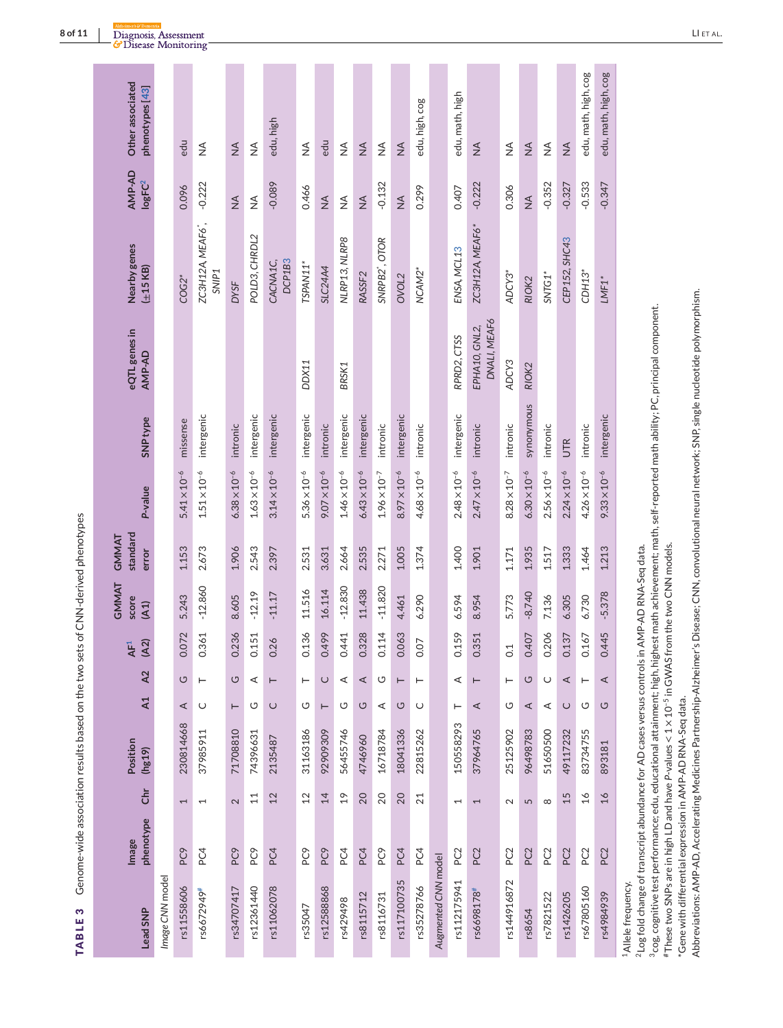| l<br>$\ddot{ }$<br>j |  |
|----------------------|--|
| ı<br>l<br>I<br>I     |  |

<span id="page-7-0"></span>

| Lead SNP            | phenotype<br><b>Image</b> | ι                        | Position<br>(hg19) | A1       | A2      | (A2)<br>AF <sup>1</sup> | GMMAT<br>score<br>(A1) | standard<br>GMMAT<br>error | P-value               | SNP <sub>type</sub> | eQTL genes in<br>AMP-AD       | Nearby genes<br>$(\pm 15$ KB)                      | AMP-AD<br>logFC <sup>2</sup> | Other associated<br>phenotypes [43] |
|---------------------|---------------------------|--------------------------|--------------------|----------|---------|-------------------------|------------------------|----------------------------|-----------------------|---------------------|-------------------------------|----------------------------------------------------|------------------------------|-------------------------------------|
| Image CNN model     |                           |                          |                    |          |         |                         |                        |                            |                       |                     |                               |                                                    |                              |                                     |
| rs11558606          | PC9                       | $\overline{ }$           | 230814668          | ⋖        | U       | 0.072                   | 5.243                  | 1.153                      | $5.41 \times 10^{-6}$ | missense            |                               | $COG2*$                                            | 0.096                        | edu                                 |
| rs6672949#          | PC4                       | $\overline{ }$           | 37985911           | $\cup$   | ⊢       | 0.361                   | $-12.860$              | 2.673                      | $1.51\times10^{-6}$   | intergenic          |                               | ZC3H12A, MEAF6 <sup>*</sup> ,<br>SNIP <sub>1</sub> | $-0.222$                     | $\frac{4}{2}$                       |
| rs34707417          | PC9                       | $\mathbf{\Omega}$        | 71708810           | $\vdash$ | U       | 0.236                   | 8.605                  | 1.906                      | $6.38 \times 10^{-6}$ | intronic            |                               | <b>DYSF</b>                                        | $\frac{4}{2}$                | $\frac{4}{2}$                       |
| rs12361440          | PC9                       | $\Xi$                    | 74396631           | O        | ⋖       | 0.151                   | $-12.19$               | 2.543                      | $1.63\times10^{-6}$   | intergenic          |                               | POLD3, CHRDL2                                      | $\frac{1}{2}$                | $\frac{4}{2}$                       |
| rs11062078          | PC4                       | 12                       | 2135487            | $\cup$   | ⊢       | 0.26                    | $-11.17$               | 2.397                      | $3.14 \times 10^{-6}$ | intergenic          |                               | DCP1B3<br>CACNA1C,                                 | $-0.089$                     | edu, high                           |
| rs35047             | PC9                       | 12                       | 31163186           | U        | ⊢       | 0.136                   | 11.516                 | 2.531                      | $5.36 \times 10^{-6}$ | intergenic          | <b>DDX11</b>                  | TSPAN11*                                           | 0.466                        | $\frac{4}{2}$                       |
| rs12588868          | PC9                       | 14                       | 92909309           | $\vdash$ | $\cup$  | 0.499                   | 16.114                 | 3.631                      | $9.07 \times 10^{-6}$ | intronic            |                               | <b>SLC24A4</b>                                     | $\frac{4}{2}$                | edu                                 |
| rs429498            | PC4                       | $\frac{6}{1}$            | 56455746           | U        | ⋖       | 0.441                   | $-12.830$              | 2.664                      | $1.46\times10^{-6}$   | intergenic          | BRSK1                         | NLRP13, NLRP8                                      | $\frac{1}{2}$                | $\frac{1}{2}$                       |
| rs8115712           | PC4                       | 20                       | 4746960            | U        | $\prec$ | 0.328                   | 11.438                 | 2.535                      | $6.43 \times 10^{-6}$ | intergenic          |                               | RASSF <sub>2</sub>                                 | $\frac{4}{2}$                | $\frac{4}{2}$                       |
| rs8116731           | PC9                       | 20                       | 16718784           | ⋖        | ပ       | 0.114                   | $-11.820$              | 2.271                      | $1.96 \times 10^{-7}$ | intronic            |                               | SNRPB2 <sup>*</sup> , OTOR                         | $-0.132$                     | $\frac{4}{2}$                       |
| rs117100735         | PC4                       | 20                       | 18041336           | ပ        | ⊢       | 0.063                   | 4.461                  | 1.005                      | $8.97 \times 10^{-6}$ | intergenic          |                               | OVOL <sub>2</sub>                                  | $\frac{4}{2}$                | $\frac{4}{2}$                       |
| rs35278766          | PC4                       | 21                       | 22815262           | $\cup$   | ⊢       | 0.07                    | 6.290                  | 1.374                      | $4.68 \times 10^{-6}$ | intronic            |                               | NCAM2*                                             | 0.299                        | edu, high, cog                      |
| Augmented CNN model |                           |                          |                    |          |         |                         |                        |                            |                       |                     |                               |                                                    |                              |                                     |
| rs112175941         | PC <sub>2</sub>           | $\overline{\phantom{0}}$ | 150558293          | ⊢        | ⋖       | 0.159                   | 6.594                  | 1.400                      | $2.48\times10^{-6}$   | intergenic          | RPRD2, CTSS                   | ENSA, MCL13                                        | 0.407                        | edu, math, high                     |
| rs6698178#          | PC <sub>2</sub>           | $\overline{\phantom{0}}$ | 37964765           | ⋖        | ⊢       | 0.351                   | 8.954                  | 1.901                      | $2.47 \times 10^{-6}$ | intronic            | DNALI, MEAF6<br>EPHA10, GNL2, | ZC3H12A, MEAF6*                                    | $-0.222$                     | $\frac{4}{2}$                       |
| rs144916872         | PC <sub>2</sub>           | $\sim$                   | 25125902           | U        | ⊢       | 0.1                     | 5.773                  | 1.171                      | $8.28 \times 10^{-7}$ | intronic            | ADCY3                         | ADCY3*                                             | 0.306                        | $\frac{4}{2}$                       |
| rs8654              | PC <sub>2</sub>           | 5                        | 96498783           | $\prec$  | ပ       | 0.407                   | $-8.740$               | 1.935                      | $6.30 \times 10^{-6}$ | synonymous          | RIOK <sub>2</sub>             | RIOK <sub>2</sub>                                  | $\frac{4}{2}$                | $\frac{4}{2}$                       |
| rs7821522           | PC <sub>2</sub>           | $\infty$                 | 51650500           | ⋖        | $\cup$  | 0.206                   | 7.136                  | 1.517                      | $2.56 \times 10^{-6}$ | intronic            |                               | $SNTG1*$                                           | $-0.352$                     | $\frac{1}{2}$                       |
| rs1426205           | PC <sub>2</sub>           | 15                       | 49117232           | $\cup$   | $\prec$ | 0.137                   | 6.305                  | 1.333                      | $2.24 \times 10^{-6}$ | UTR                 |                               | CEP152, SHC43                                      | $-0.327$                     | $\frac{4}{2}$                       |
| rs67805160          | PC <sub>2</sub>           | $\frac{6}{1}$            | 83734755           | U        | ⊢       | 167<br>5                | 6.730                  | 1.464                      | $4.26 \times 10^{-6}$ | intronic            |                               | $CDH13*$                                           | $-0.533$                     | edu, math, high, cog                |
| rs4984939           | PC <sub>2</sub>           | 16                       | 893181             | ပ        | ⋖       | 0.445                   | $-5.378$               | 1.213                      | $9.33 \times 10^{-6}$ | intergenic          |                               | $LMF1*$                                            | $-0.347$                     | edu, math, high, cog                |
| Allele frequency.   |                           |                          |                    |          |         |                         |                        |                            |                       |                     |                               |                                                    |                              |                                     |

<sup>2</sup> Log fold change of transcript abundance for AD cases versus controls in AMP-AD RNA-Seq data. 2Log fold change of transcript abundance for AD cases versus controls in AMP-AD RNA-Seq data.

<sup>3</sup>cog, cognitive test performance; edu, educational attainment; high, highest math achievement; math, self-reported math ability; PC, principal component.<br>#These two SNPs are in high LD and have P-values < 1 x 10<sup>-5</sup> in G 3cog, cognitive test performance; edu, educational attainment; high, highest math achievement; math, self-reported math ability; PC, principal component.

#These two SNPs are in high LD and have *P*-values < 1 × 10–5 in GWAS from the two CNN models.

\*Gene with differential expression in AMP-AD RNA-Seq data.

\*Gene with differential expression in AMP-AD RNA-Seq data.<br>Abbreviations: AMP-AD, Accelerating Medicines Partnership-Alzheimer's Disease; CNN, convolutional neural network; SNP, single nucleotide polymorphism. Abbreviations: AMP-AD, Accelerating Medicines Partnership-Alzheimer's Disease; CNN, convolutional neural network; SNP, single nucleotide polymorphism.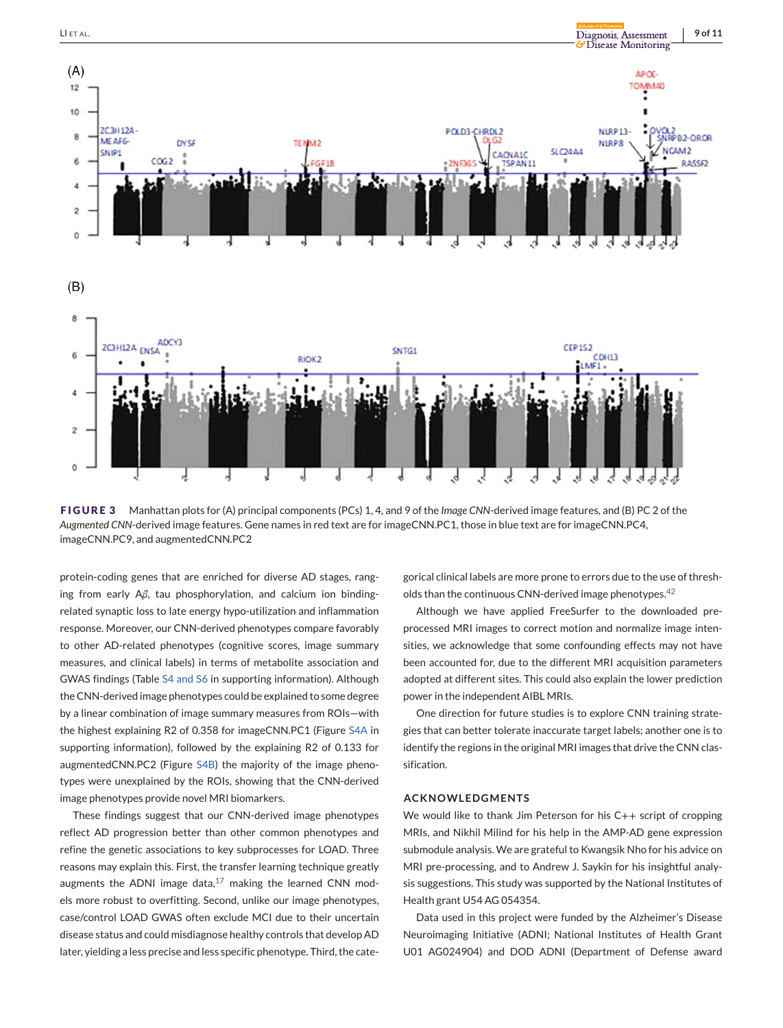<span id="page-8-0"></span>

**FIGURE 3** Manhattan plots for (A) principal components (PCs) 1, 4, and 9 of the *Image CNN*-derived image features, and (B) PC 2 of the *Augmented CNN*-derived image features. Gene names in red text are for imageCNN.PC1, those in blue text are for imageCNN.PC4, imageCNN.PC9, and augmentedCNN.PC2

protein-coding genes that are enriched for diverse AD stages, ranging from early A*β*, tau phosphorylation, and calcium ion bindingrelated synaptic loss to late energy hypo-utilization and inflammation response. Moreover, our CNN-derived phenotypes compare favorably to other AD-related phenotypes (cognitive scores, image summary measures, and clinical labels) in terms of metabolite association and GWAS findings (Table S4 and S6 in supporting information). Although the CNN-derived image phenotypes could be explained to some degree by a linear combination of image summary measures from ROIs—with the highest explaining R2 of 0.358 for imageCNN.PC1 (Figure S4A in supporting information), followed by the explaining R2 of 0.133 for augmentedCNN.PC2 (Figure S4B) the majority of the image phenotypes were unexplained by the ROIs, showing that the CNN-derived image phenotypes provide novel MRI biomarkers.

These findings suggest that our CNN-derived image phenotypes reflect AD progression better than other common phenotypes and refine the genetic associations to key subprocesses for LOAD. Three reasons may explain this. First, the transfer learning technique greatly augments the ADNI image data, $17$  making the learned CNN models more robust to overfitting. Second, unlike our image phenotypes, case/control LOAD GWAS often exclude MCI due to their uncertain disease status and could misdiagnose healthy controls that develop AD later, yielding a less precise and less specific phenotype. Third, the cate-

gorical clinical labels are more prone to errors due to the use of thresh-olds than the continuous CNN-derived image phenotypes.<sup>[42](#page-10-0)</sup>

Although we have applied FreeSurfer to the downloaded preprocessed MRI images to correct motion and normalize image intensities, we acknowledge that some confounding effects may not have been accounted for, due to the different MRI acquisition parameters adopted at different sites. This could also explain the lower prediction power in the independent AIBL MRIs.

One direction for future studies is to explore CNN training strategies that can better tolerate inaccurate target labels; another one is to identify the regions in the original MRI images that drive the CNN classification.

## **ACKNOWLEDGMENTS**

We would like to thank Jim Peterson for his C++ script of cropping MRIs, and Nikhil Milind for his help in the AMP-AD gene expression submodule analysis. We are grateful to Kwangsik Nho for his advice on MRI pre-processing, and to Andrew J. Saykin for his insightful analysis suggestions. This study was supported by the National Institutes of Health grant U54 AG 054354.

Data used in this project were funded by the Alzheimer's Disease Neuroimaging Initiative (ADNI; National Institutes of Health Grant U01 AG024904) and DOD ADNI (Department of Defense award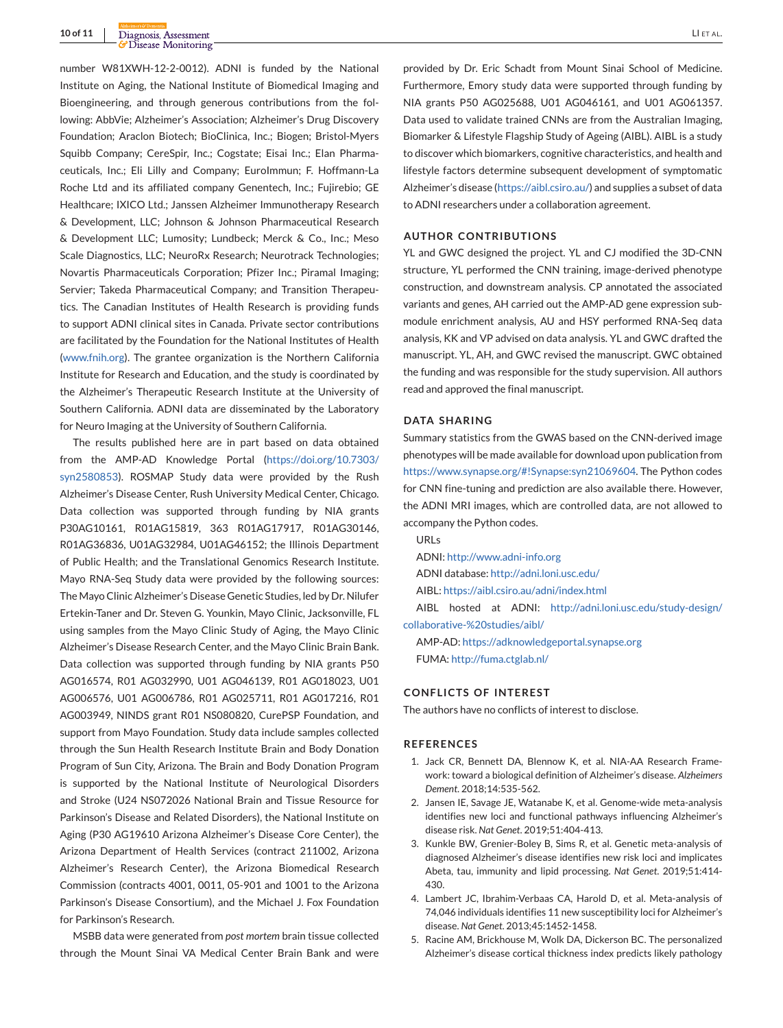<span id="page-9-0"></span>**10 of 11** Diagnosis, Assessment LI ET AL.

number W81XWH-12-2-0012). ADNI is funded by the National Institute on Aging, the National Institute of Biomedical Imaging and Bioengineering, and through generous contributions from the following: AbbVie; Alzheimer's Association; Alzheimer's Drug Discovery Foundation; Araclon Biotech; BioClinica, Inc.; Biogen; Bristol-Myers Squibb Company; CereSpir, Inc.; Cogstate; Eisai Inc.; Elan Pharmaceuticals, Inc.; Eli Lilly and Company; EuroImmun; F. Hoffmann-La Roche Ltd and its affiliated company Genentech, Inc.; Fujirebio; GE Healthcare; IXICO Ltd.; Janssen Alzheimer Immunotherapy Research & Development, LLC; Johnson & Johnson Pharmaceutical Research & Development LLC; Lumosity; Lundbeck; Merck & Co., Inc.; Meso Scale Diagnostics, LLC; NeuroRx Research; Neurotrack Technologies; Novartis Pharmaceuticals Corporation; Pfizer Inc.; Piramal Imaging; Servier; Takeda Pharmaceutical Company; and Transition Therapeutics. The Canadian Institutes of Health Research is providing funds to support ADNI clinical sites in Canada. Private sector contributions are facilitated by the Foundation for the National Institutes of Health [\(www.fnih.org\)](http://www.fnih.org). The grantee organization is the Northern California Institute for Research and Education, and the study is coordinated by the Alzheimer's Therapeutic Research Institute at the University of Southern California. ADNI data are disseminated by the Laboratory for Neuro Imaging at the University of Southern California.

The results published here are in part based on data obtained from the AMP-AD Knowledge Portal [\(https://doi.org/10.7303/](https://doi.org/10.7303/syn2580853) [syn2580853\)](https://doi.org/10.7303/syn2580853). ROSMAP Study data were provided by the Rush Alzheimer's Disease Center, Rush University Medical Center, Chicago. Data collection was supported through funding by NIA grants P30AG10161, R01AG15819, 363 R01AG17917, R01AG30146, R01AG36836, U01AG32984, U01AG46152; the Illinois Department of Public Health; and the Translational Genomics Research Institute. Mayo RNA-Seq Study data were provided by the following sources: The Mayo Clinic Alzheimer's Disease Genetic Studies, led by Dr. Nilufer Ertekin-Taner and Dr. Steven G. Younkin, Mayo Clinic, Jacksonville, FL using samples from the Mayo Clinic Study of Aging, the Mayo Clinic Alzheimer's Disease Research Center, and the Mayo Clinic Brain Bank. Data collection was supported through funding by NIA grants P50 AG016574, R01 AG032990, U01 AG046139, R01 AG018023, U01 AG006576, U01 AG006786, R01 AG025711, R01 AG017216, R01 AG003949, NINDS grant R01 NS080820, CurePSP Foundation, and support from Mayo Foundation. Study data include samples collected through the Sun Health Research Institute Brain and Body Donation Program of Sun City, Arizona. The Brain and Body Donation Program is supported by the National Institute of Neurological Disorders and Stroke (U24 NS072026 National Brain and Tissue Resource for Parkinson's Disease and Related Disorders), the National Institute on Aging (P30 AG19610 Arizona Alzheimer's Disease Core Center), the Arizona Department of Health Services (contract 211002, Arizona Alzheimer's Research Center), the Arizona Biomedical Research Commission (contracts 4001, 0011, 05-901 and 1001 to the Arizona Parkinson's Disease Consortium), and the Michael J. Fox Foundation for Parkinson's Research.

MSBB data were generated from *post mortem* brain tissue collected through the Mount Sinai VA Medical Center Brain Bank and were

provided by Dr. Eric Schadt from Mount Sinai School of Medicine. Furthermore, Emory study data were supported through funding by NIA grants P50 AG025688, U01 AG046161, and U01 AG061357. Data used to validate trained CNNs are from the Australian Imaging, Biomarker & Lifestyle Flagship Study of Ageing (AIBL). AIBL is a study to discover which biomarkers, cognitive characteristics, and health and lifestyle factors determine subsequent development of symptomatic Alzheimer's disease [\(https://aibl.csiro.au/\)](https://aibl.csiro.au/) and supplies a subset of data to ADNI researchers under a collaboration agreement.

## **AUTHOR CONTRIBUTIONS**

YL and GWC designed the project. YL and CJ modified the 3D-CNN structure, YL performed the CNN training, image-derived phenotype construction, and downstream analysis. CP annotated the associated variants and genes, AH carried out the AMP-AD gene expression submodule enrichment analysis, AU and HSY performed RNA-Seq data analysis, KK and VP advised on data analysis. YL and GWC drafted the manuscript. YL, AH, and GWC revised the manuscript. GWC obtained the funding and was responsible for the study supervision. All authors read and approved the final manuscript.

#### **DATA SHARING**

Summary statistics from the GWAS based on the CNN-derived image phenotypes will be made available for download upon publication from [https://www.synapse.org/#!Synapse:syn21069604.](https://www.synapse.org/#!Synapse:syn21069604) The Python codes for CNN fine-tuning and prediction are also available there. However, the ADNI MRI images, which are controlled data, are not allowed to accompany the Python codes.

URLs

ADNI: <http://www.adni-info.org>

ADNI database: <http://adni.loni.usc.edu/>

AIBL: <https://aibl.csiro.au/adni/index.html>

AIBL hosted at ADNI: [http://adni.loni.usc.edu/study-design/](http://adni.loni.usc.edu/study-design/collaborative-%20studies/aibl/) [collaborative-%20studies/aibl/](http://adni.loni.usc.edu/study-design/collaborative-%20studies/aibl/)

AMP-AD: <https://adknowledgeportal.synapse.org> FUMA: <http://fuma.ctglab.nl/>

#### **CONFLICTS OF INTEREST**

The authors have no conflicts of interest to disclose.

#### **REFERENCES**

- 1. Jack CR, Bennett DA, Blennow K, et al. NIA-AA Research Framework: toward a biological definition of Alzheimer's disease. *Alzheimers Dement*. 2018;14:535-562.
- 2. Jansen IE, Savage JE, Watanabe K, et al. Genome-wide meta-analysis identifies new loci and functional pathways influencing Alzheimer's disease risk. *Nat Genet*. 2019;51:404-413.
- 3. Kunkle BW, Grenier-Boley B, Sims R, et al. Genetic meta-analysis of diagnosed Alzheimer's disease identifies new risk loci and implicates Abeta, tau, immunity and lipid processing. *Nat Genet*. 2019;51:414- 430.
- 4. Lambert JC, Ibrahim-Verbaas CA, Harold D, et al. Meta-analysis of 74,046 individuals identifies 11 new susceptibility loci for Alzheimer's disease. *Nat Genet*. 2013;45:1452-1458.
- 5. Racine AM, Brickhouse M, Wolk DA, Dickerson BC. The personalized Alzheimer's disease cortical thickness index predicts likely pathology